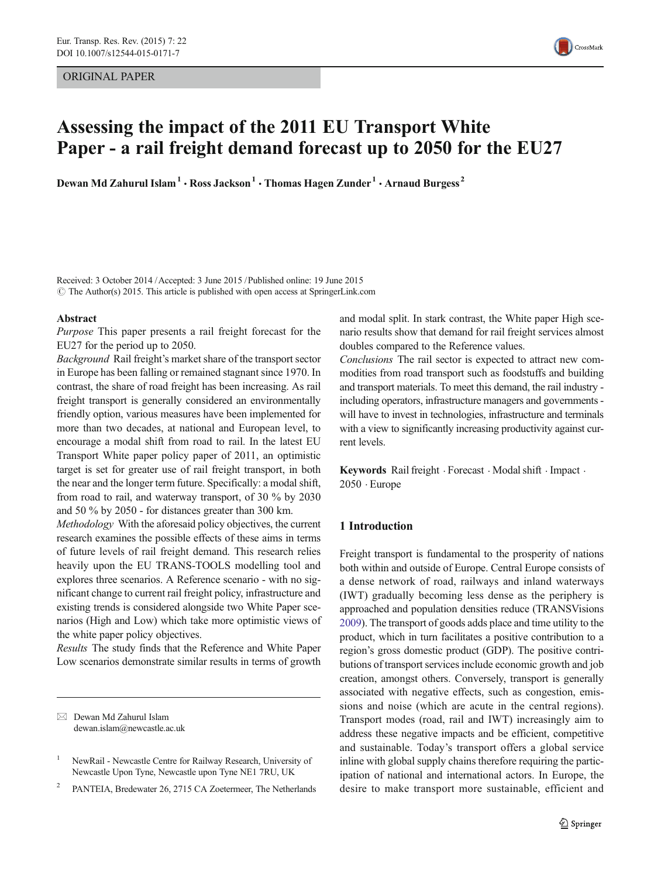## ORIGINAL PAPER



# Assessing the impact of the 2011 EU Transport White Paper - a rail freight demand forecast up to 2050 for the EU27

Dewan Md Zahurul Islam<sup>1</sup>  $\cdot$  Ross Jackson<sup>1</sup>  $\cdot$  Thomas Hagen Zunder<sup>1</sup>  $\cdot$  Arnaud Burgess<sup>2</sup>

Received: 3 October 2014 /Accepted: 3 June 2015 /Published online: 19 June 2015  $\odot$  The Author(s) 2015. This article is published with open access at SpringerLink.com

#### Abstract

Purpose This paper presents a rail freight forecast for the EU27 for the period up to 2050.

Background Rail freight's market share of the transport sector in Europe has been falling or remained stagnant since 1970. In contrast, the share of road freight has been increasing. As rail freight transport is generally considered an environmentally friendly option, various measures have been implemented for more than two decades, at national and European level, to encourage a modal shift from road to rail. In the latest EU Transport White paper policy paper of 2011, an optimistic target is set for greater use of rail freight transport, in both the near and the longer term future. Specifically: a modal shift, from road to rail, and waterway transport, of 30 % by 2030 and 50 % by 2050 - for distances greater than 300 km.

Methodology With the aforesaid policy objectives, the current research examines the possible effects of these aims in terms of future levels of rail freight demand. This research relies heavily upon the EU TRANS-TOOLS modelling tool and explores three scenarios. A Reference scenario - with no significant change to current rail freight policy, infrastructure and existing trends is considered alongside two White Paper scenarios (High and Low) which take more optimistic views of the white paper policy objectives.

Results The study finds that the Reference and White Paper Low scenarios demonstrate similar results in terms of growth

 $\boxtimes$  Dewan Md Zahurul Islam dewan.islam@newcastle.ac.uk

<sup>2</sup> PANTEIA, Bredewater 26, 2715 CA Zoetermeer, The Netherlands

and modal split. In stark contrast, the White paper High scenario results show that demand for rail freight services almost doubles compared to the Reference values.

Conclusions The rail sector is expected to attract new commodities from road transport such as foodstuffs and building and transport materials. To meet this demand, the rail industry including operators, infrastructure managers and governments will have to invest in technologies, infrastructure and terminals with a view to significantly increasing productivity against current levels.

Keywords Rail freight . Forecast . Modal shift . Impact . 2050 . Europe

# 1 Introduction

Freight transport is fundamental to the prosperity of nations both within and outside of Europe. Central Europe consists of a dense network of road, railways and inland waterways (IWT) gradually becoming less dense as the periphery is approached and population densities reduce (TRANSVisions [2009\)](#page-8-0). The transport of goods adds place and time utility to the product, which in turn facilitates a positive contribution to a region's gross domestic product (GDP). The positive contributions of transport services include economic growth and job creation, amongst others. Conversely, transport is generally associated with negative effects, such as congestion, emissions and noise (which are acute in the central regions). Transport modes (road, rail and IWT) increasingly aim to address these negative impacts and be efficient, competitive and sustainable. Today's transport offers a global service inline with global supply chains therefore requiring the participation of national and international actors. In Europe, the desire to make transport more sustainable, efficient and

<sup>&</sup>lt;sup>1</sup> NewRail - Newcastle Centre for Railway Research, University of Newcastle Upon Tyne, Newcastle upon Tyne NE1 7RU, UK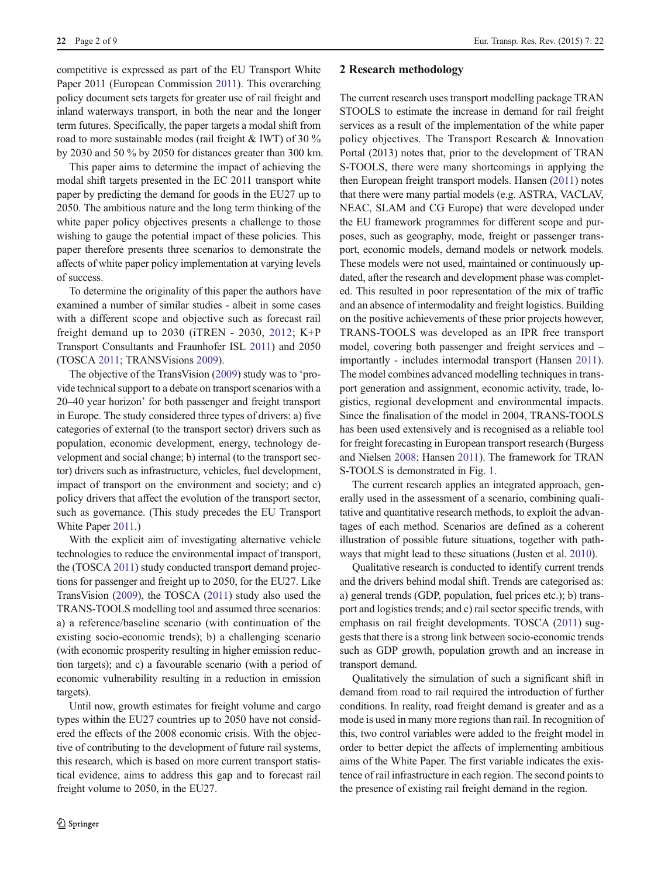competitive is expressed as part of the EU Transport White Paper 2011 (European Commission [2011\)](#page-8-0). This overarching policy document sets targets for greater use of rail freight and inland waterways transport, in both the near and the longer term futures. Specifically, the paper targets a modal shift from road to more sustainable modes (rail freight & IWT) of 30 % by 2030 and 50 % by 2050 for distances greater than 300 km.

This paper aims to determine the impact of achieving the modal shift targets presented in the EC 2011 transport white paper by predicting the demand for goods in the EU27 up to 2050. The ambitious nature and the long term thinking of the white paper policy objectives presents a challenge to those wishing to gauge the potential impact of these policies. This paper therefore presents three scenarios to demonstrate the affects of white paper policy implementation at varying levels of success.

To determine the originality of this paper the authors have examined a number of similar studies - albeit in some cases with a different scope and objective such as forecast rail freight demand up to  $2030$  (iTREN -  $2030$ ,  $2012$ ; K+P Transport Consultants and Fraunhofer ISL [2011\)](#page-8-0) and 2050 (TOSCA [2011](#page-8-0); TRANSVisions [2009\)](#page-8-0).

The objective of the TransVision [\(2009\)](#page-8-0) study was to 'provide technical support to a debate on transport scenarios with a 20–40 year horizon' for both passenger and freight transport in Europe. The study considered three types of drivers: a) five categories of external (to the transport sector) drivers such as population, economic development, energy, technology development and social change; b) internal (to the transport sector) drivers such as infrastructure, vehicles, fuel development, impact of transport on the environment and society; and c) policy drivers that affect the evolution of the transport sector, such as governance. (This study precedes the EU Transport White Paper [2011](#page-8-0).)

With the explicit aim of investigating alternative vehicle technologies to reduce the environmental impact of transport, the (TOSCA [2011\)](#page-8-0) study conducted transport demand projections for passenger and freight up to 2050, for the EU27. Like TransVision ([2009](#page-8-0)), the TOSCA ([2011](#page-8-0)) study also used the TRANS-TOOLS modelling tool and assumed three scenarios: a) a reference/baseline scenario (with continuation of the existing socio-economic trends); b) a challenging scenario (with economic prosperity resulting in higher emission reduction targets); and c) a favourable scenario (with a period of economic vulnerability resulting in a reduction in emission targets).

Until now, growth estimates for freight volume and cargo types within the EU27 countries up to 2050 have not considered the effects of the 2008 economic crisis. With the objective of contributing to the development of future rail systems, this research, which is based on more current transport statistical evidence, aims to address this gap and to forecast rail freight volume to 2050, in the EU27.

#### 2 Research methodology

The current research uses transport modelling package TRAN STOOLS to estimate the increase in demand for rail freight services as a result of the implementation of the white paper policy objectives. The Transport Research & Innovation Portal (2013) notes that, prior to the development of TRAN S-TOOLS, there were many shortcomings in applying the then European freight transport models. Hansen ([2011\)](#page-8-0) notes that there were many partial models (e.g. ASTRA, VACLAV, NEAC, SLAM and CG Europe) that were developed under the EU framework programmes for different scope and purposes, such as geography, mode, freight or passenger transport, economic models, demand models or network models. These models were not used, maintained or continuously updated, after the research and development phase was completed. This resulted in poor representation of the mix of traffic and an absence of intermodality and freight logistics. Building on the positive achievements of these prior projects however, TRANS-TOOLS was developed as an IPR free transport model, covering both passenger and freight services and – importantly - includes intermodal transport (Hansen [2011\)](#page-8-0). The model combines advanced modelling techniques in transport generation and assignment, economic activity, trade, logistics, regional development and environmental impacts. Since the finalisation of the model in 2004, TRANS-TOOLS has been used extensively and is recognised as a reliable tool for freight forecasting in European transport research (Burgess and Nielsen [2008](#page-8-0); Hansen [2011\)](#page-8-0). The framework for TRAN S-TOOLS is demonstrated in Fig. [1.](#page-2-0)

The current research applies an integrated approach, generally used in the assessment of a scenario, combining qualitative and quantitative research methods, to exploit the advantages of each method. Scenarios are defined as a coherent illustration of possible future situations, together with pathways that might lead to these situations (Justen et al. [2010](#page-8-0)).

Qualitative research is conducted to identify current trends and the drivers behind modal shift. Trends are categorised as: a) general trends (GDP, population, fuel prices etc.); b) transport and logistics trends; and c) rail sector specific trends, with emphasis on rail freight developments. TOSCA ([2011\)](#page-8-0) suggests that there is a strong link between socio-economic trends such as GDP growth, population growth and an increase in transport demand.

Qualitatively the simulation of such a significant shift in demand from road to rail required the introduction of further conditions. In reality, road freight demand is greater and as a mode is used in many more regions than rail. In recognition of this, two control variables were added to the freight model in order to better depict the affects of implementing ambitious aims of the White Paper. The first variable indicates the existence of rail infrastructure in each region. The second points to the presence of existing rail freight demand in the region.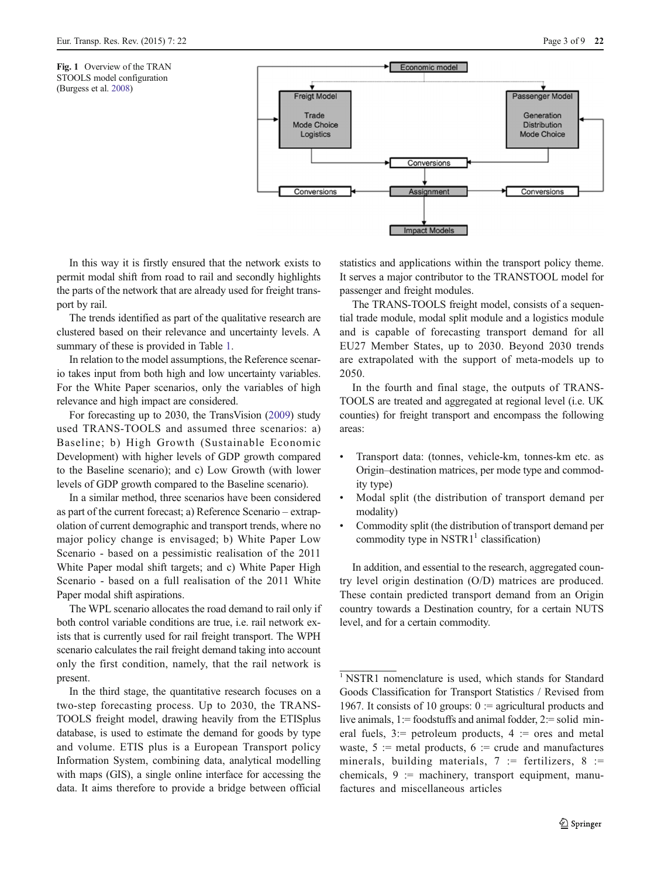<span id="page-2-0"></span>Fig. 1 Overview of the TRAN STOOLS model configuration (Burgess et al. [2008\)](#page-8-0)



In this way it is firstly ensured that the network exists to permit modal shift from road to rail and secondly highlights the parts of the network that are already used for freight transport by rail.

The trends identified as part of the qualitative research are clustered based on their relevance and uncertainty levels. A summary of these is provided in Table [1](#page-3-0).

In relation to the model assumptions, the Reference scenario takes input from both high and low uncertainty variables. For the White Paper scenarios, only the variables of high relevance and high impact are considered.

For forecasting up to 2030, the TransVision [\(2009\)](#page-8-0) study used TRANS-TOOLS and assumed three scenarios: a) Baseline; b) High Growth (Sustainable Economic Development) with higher levels of GDP growth compared to the Baseline scenario); and c) Low Growth (with lower levels of GDP growth compared to the Baseline scenario).

In a similar method, three scenarios have been considered as part of the current forecast; a) Reference Scenario – extrapolation of current demographic and transport trends, where no major policy change is envisaged; b) White Paper Low Scenario - based on a pessimistic realisation of the 2011 White Paper modal shift targets; and c) White Paper High Scenario - based on a full realisation of the 2011 White Paper modal shift aspirations.

The WPL scenario allocates the road demand to rail only if both control variable conditions are true, i.e. rail network exists that is currently used for rail freight transport. The WPH scenario calculates the rail freight demand taking into account only the first condition, namely, that the rail network is present.

In the third stage, the quantitative research focuses on a two-step forecasting process. Up to 2030, the TRANS-TOOLS freight model, drawing heavily from the ETISplus database, is used to estimate the demand for goods by type and volume. ETIS plus is a European Transport policy Information System, combining data, analytical modelling with maps (GIS), a single online interface for accessing the data. It aims therefore to provide a bridge between official statistics and applications within the transport policy theme. It serves a major contributor to the TRANSTOOL model for passenger and freight modules.

The TRANS-TOOLS freight model, consists of a sequential trade module, modal split module and a logistics module and is capable of forecasting transport demand for all EU27 Member States, up to 2030. Beyond 2030 trends are extrapolated with the support of meta-models up to 2050.

In the fourth and final stage, the outputs of TRANS-TOOLS are treated and aggregated at regional level (i.e. UK counties) for freight transport and encompass the following areas:

- & Transport data: (tonnes, vehicle-km, tonnes-km etc. as Origin–destination matrices, per mode type and commodity type)
- & Modal split (the distribution of transport demand per modality)
- & Commodity split (the distribution of transport demand per commodity type in NSTR $1^1$  classification)

In addition, and essential to the research, aggregated country level origin destination (O/D) matrices are produced. These contain predicted transport demand from an Origin country towards a Destination country, for a certain NUTS level, and for a certain commodity.

<sup>&</sup>lt;sup>1</sup> NSTR1 nomenclature is used, which stands for Standard Goods Classification for Transport Statistics / Revised from 1967. It consists of 10 groups:  $0 :=$  agricultural products and live animals,  $1:=$  foodstuffs and animal fodder,  $2:=$  solid mineral fuels,  $3:=$  petroleum products,  $4:=$  ores and metal waste,  $5 :=$  metal products,  $6 :=$  crude and manufactures minerals, building materials,  $7$  := fertilizers,  $8$  := chemicals, 9 := machinery, transport equipment, manufactures and miscellaneous articles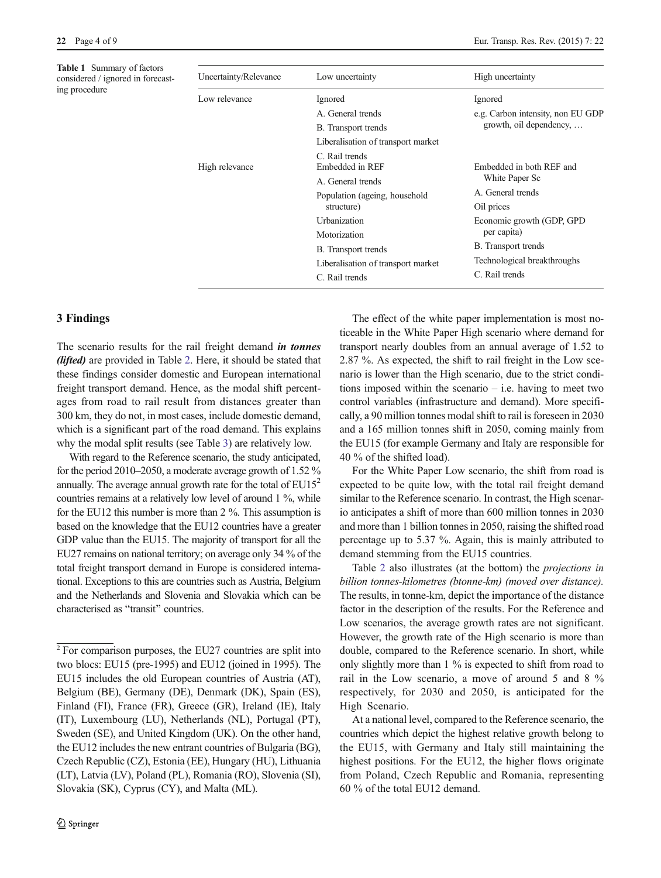<span id="page-3-0"></span>22 Page 4 of 9 Eur. Transp. Res. Rev.  $(2015)$  7: 22

|               | <b>Table 1</b> Summary of factors |
|---------------|-----------------------------------|
|               | considered / ignored in forecast- |
| ing procedure |                                   |

| Uncertainty/Relevance | Low uncertainty                                        | High uncertainty                           |
|-----------------------|--------------------------------------------------------|--------------------------------------------|
| Low relevance         | Ignored                                                | Ignored                                    |
|                       | A. General trends                                      | e.g. Carbon intensity, non EU GDP          |
|                       | <b>B.</b> Transport trends                             | growth, oil dependency,                    |
|                       | Liberalisation of transport market                     |                                            |
| High relevance        | C. Rail trends<br>Embedded in REF<br>A. General trends | Embedded in both REF and<br>White Paper Sc |
|                       | Population (ageing, household<br>structure)            | A. General trends<br>Oil prices            |
|                       | <b>Urbanization</b>                                    | Economic growth (GDP, GPD)                 |
|                       | Motorization                                           | per capita)                                |
|                       | <b>B.</b> Transport trends                             | <b>B.</b> Transport trends                 |
|                       | Liberalisation of transport market                     | Technological breakthroughs                |
|                       | C. Rail trends                                         | C. Rail trends                             |

# 3 Findings

The scenario results for the rail freight demand *in tonnes* (lifted) are provided in Table [2](#page-4-0). Here, it should be stated that these findings consider domestic and European international freight transport demand. Hence, as the modal shift percentages from road to rail result from distances greater than 300 km, they do not, in most cases, include domestic demand, which is a significant part of the road demand. This explains why the modal split results (see Table [3\)](#page-4-0) are relatively low.

With regard to the Reference scenario, the study anticipated, for the period 2010–2050, a moderate average growth of 1.52 % annually. The average annual growth rate for the total of  $EUI5<sup>2</sup>$ countries remains at a relatively low level of around 1 %, while for the EU12 this number is more than 2 %. This assumption is based on the knowledge that the EU12 countries have a greater GDP value than the EU15. The majority of transport for all the EU27 remains on national territory; on average only 34 % of the total freight transport demand in Europe is considered international. Exceptions to this are countries such as Austria, Belgium and the Netherlands and Slovenia and Slovakia which can be characterised as "transit" countries.

The effect of the white paper implementation is most noticeable in the White Paper High scenario where demand for transport nearly doubles from an annual average of 1.52 to 2.87 %. As expected, the shift to rail freight in the Low scenario is lower than the High scenario, due to the strict conditions imposed within the scenario  $-$  i.e. having to meet two control variables (infrastructure and demand). More specifically, a 90 million tonnes modal shift to rail is foreseen in 2030 and a 165 million tonnes shift in 2050, coming mainly from the EU15 (for example Germany and Italy are responsible for 40 % of the shifted load).

For the White Paper Low scenario, the shift from road is expected to be quite low, with the total rail freight demand similar to the Reference scenario. In contrast, the High scenario anticipates a shift of more than 600 million tonnes in 2030 and more than 1 billion tonnes in 2050, raising the shifted road percentage up to 5.37 %. Again, this is mainly attributed to demand stemming from the EU15 countries.

Table [2](#page-4-0) also illustrates (at the bottom) the projections in billion tonnes-kilometres (btonne-km) (moved over distance). The results, in tonne-km, depict the importance of the distance factor in the description of the results. For the Reference and Low scenarios, the average growth rates are not significant. However, the growth rate of the High scenario is more than double, compared to the Reference scenario. In short, while only slightly more than 1 % is expected to shift from road to rail in the Low scenario, a move of around 5 and 8 % respectively, for 2030 and 2050, is anticipated for the High Scenario.

At a national level, compared to the Reference scenario, the countries which depict the highest relative growth belong to the EU15, with Germany and Italy still maintaining the highest positions. For the EU12, the higher flows originate from Poland, Czech Republic and Romania, representing 60 % of the total EU12 demand.

<sup>2</sup> For comparison purposes, the EU27 countries are split into two blocs: EU15 (pre-1995) and EU12 (joined in 1995). The EU15 includes the old European countries of Austria (AT), Belgium (BE), Germany (DE), Denmark (DK), Spain (ES), Finland (FI), France (FR), Greece (GR), Ireland (IE), Italy (IT), Luxembourg (LU), Netherlands (NL), Portugal (PT), Sweden (SE), and United Kingdom (UK). On the other hand, the EU12 includes the new entrant countries of Bulgaria (BG), Czech Republic (CZ), Estonia (EE), Hungary (HU), Lithuania (LT), Latvia (LV), Poland (PL), Romania (RO), Slovenia (SI), Slovakia (SK), Cyprus (CY), and Malta (ML).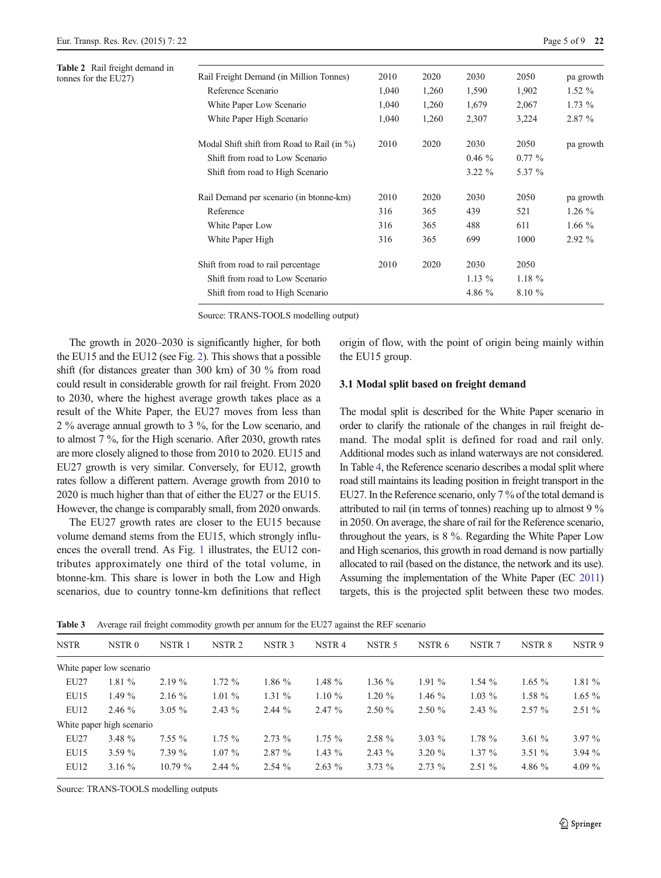<span id="page-4-0"></span>Table 2 Rail freight demand in

tonnes for the EU27)

| Rail Freight Demand (in Million Tonnes)        | 2010  | 2020  | 2030      | 2050      | pa growth |
|------------------------------------------------|-------|-------|-----------|-----------|-----------|
| Reference Scenario                             | 1,040 | 1,260 | 1,590     | 1,902     | $1.52 \%$ |
| White Paper Low Scenario                       | 1,040 | 1,260 | 1,679     | 2,067     | $1.73\%$  |
| White Paper High Scenario                      | 1,040 | 1,260 | 2,307     | 3,224     | $2.87\%$  |
| Modal Shift shift from Road to Rail (in $\%$ ) | 2010  | 2020  | 2030      | 2050      | pa growth |
| Shift from road to Low Scenario                |       |       | $0.46\%$  | $0.77\%$  |           |
| Shift from road to High Scenario               |       |       | $3.22 \%$ | 5.37 %    |           |
| Rail Demand per scenario (in btonne-km)        | 2010  | 2020  | 2030      | 2050      | pa growth |
| Reference                                      | 316   | 365   | 439       | 521       | 1.26 $%$  |
| White Paper Low                                | 316   | 365   | 488       | 611       | $1.66\%$  |
| White Paper High                               | 316   | 365   | 699       | 1000      | $2.92\%$  |
| Shift from road to rail percentage             | 2010  | 2020  | 2030      | 2050      |           |
| Shift from road to Low Scenario                |       |       | $1.13\%$  | $1.18 \%$ |           |
| Shift from road to High Scenario               |       |       | 4.86 $\%$ | $8.10 \%$ |           |

Source: TRANS-TOOLS modelling output)

The growth in 2020–2030 is significantly higher, for both the EU15 and the EU12 (see Fig. [2\)](#page-5-0). This shows that a possible shift (for distances greater than 300 km) of 30 % from road could result in considerable growth for rail freight. From 2020 to 2030, where the highest average growth takes place as a result of the White Paper, the EU27 moves from less than 2 % average annual growth to 3 %, for the Low scenario, and to almost 7 %, for the High scenario. After 2030, growth rates are more closely aligned to those from 2010 to 2020. EU15 and EU27 growth is very similar. Conversely, for EU12, growth rates follow a different pattern. Average growth from 2010 to 2020 is much higher than that of either the EU27 or the EU15. However, the change is comparably small, from 2020 onwards.

The EU27 growth rates are closer to the EU15 because volume demand stems from the EU15, which strongly influences the overall trend. As Fig. [1](#page-2-0) illustrates, the EU12 contributes approximately one third of the total volume, in btonne-km. This share is lower in both the Low and High scenarios, due to country tonne-km definitions that reflect origin of flow, with the point of origin being mainly within the EU15 group.

#### 3.1 Modal split based on freight demand

The modal split is described for the White Paper scenario in order to clarify the rationale of the changes in rail freight demand. The modal split is defined for road and rail only. Additional modes such as inland waterways are not considered. In Table [4,](#page-5-0) the Reference scenario describes a modal split where road still maintains its leading position in freight transport in the EU27. In the Reference scenario, only 7 % of the total demand is attributed to rail (in terms of tonnes) reaching up to almost 9 % in 2050. On average, the share of rail for the Reference scenario, throughout the years, is 8 %. Regarding the White Paper Low and High scenarios, this growth in road demand is now partially allocated to rail (based on the distance, the network and its use). Assuming the implementation of the White Paper (EC [2011](#page-8-0)) targets, this is the projected split between these two modes.

| <b>Table 3</b> |  |  |  | Average rail freight commodity growth per annum for the EU27 against the REF scenario |  |
|----------------|--|--|--|---------------------------------------------------------------------------------------|--|
|----------------|--|--|--|---------------------------------------------------------------------------------------|--|

| <b>NSTR</b> | NSTR <sub>0</sub>         | NSTR <sub>1</sub> | NSTR <sub>2</sub> | NSTR <sub>3</sub> | NSTR <sub>4</sub> | NSTR 5    | NSTR 6   | NSTR <sub>7</sub> | NSTR 8    | NSTR <sub>9</sub> |
|-------------|---------------------------|-------------------|-------------------|-------------------|-------------------|-----------|----------|-------------------|-----------|-------------------|
|             | White paper low scenario  |                   |                   |                   |                   |           |          |                   |           |                   |
| EU27        | $1.81\%$                  | $2.19\%$          | $1.72\%$          | 1.86 $%$          | 1.48 $%$          | 1.36 $%$  | $1.91\%$ | 1.54%             | $1.65\%$  | $1.81\%$          |
| EU15        | 1.49 $%$                  | $2.16\%$          | $1.01\%$          | $1.31\%$          | $1.10 \%$         | $1.20 \%$ | 1.46 $%$ | $1.03\%$          | 1.58 $%$  | 1.65 $%$          |
| EU12        | $2.46\%$                  | $3.05\%$          | $2.43\%$          | $2.44\%$          | $2.47\%$          | $2.50\%$  | $2.50\%$ | $2.43\%$          | $2.57\%$  | $2.51\%$          |
|             | White paper high scenario |                   |                   |                   |                   |           |          |                   |           |                   |
| EU27        | 3.48 $%$                  | $7.55\%$          | $1.75\%$          | $2.73\%$          | $1.75\%$          | $2.58\%$  | 3.03 $%$ | $1.78 \%$         | 3.61 $%$  | $3.97\%$          |
| EU15        | $3.59\%$                  | 7.39 %            | $1.07\%$          | $2.87\%$          | 1.43 $%$          | $2.43\%$  | 3.20 $%$ | $1.37\%$          | 3.51 $%$  | 3.94 $%$          |
| EU12        | $3.16\%$                  | $10.79\%$         | $2.44\%$          | $2.54\%$          | $2.63\%$          | $3.73 \%$ | $2.73\%$ | $2.51\%$          | 4.86 $\%$ | 4.09 $%$          |

Source: TRANS-TOOLS modelling outputs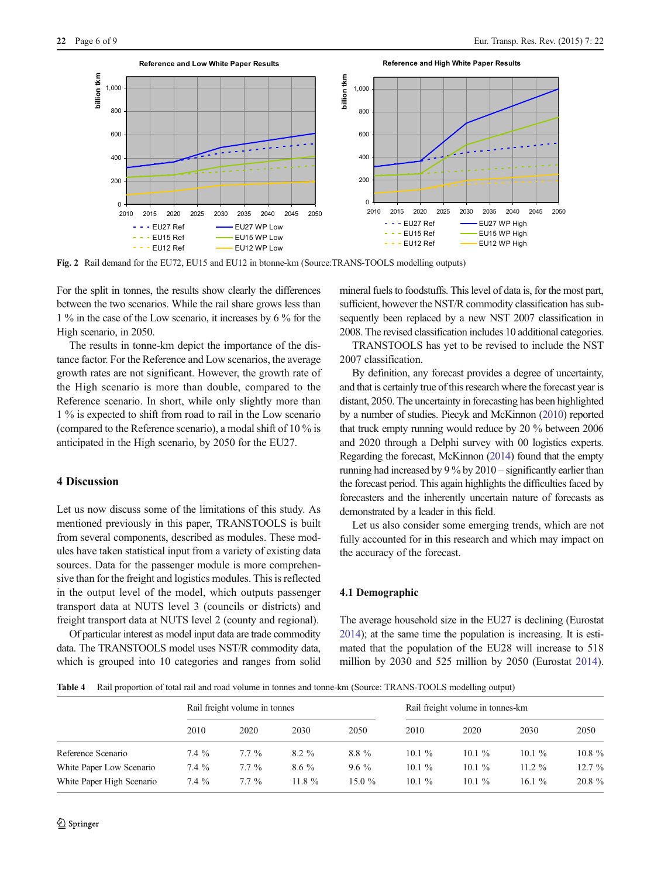<span id="page-5-0"></span>

Fig. 2 Rail demand for the EU72, EU15 and EU12 in btonne-km (Source:TRANS-TOOLS modelling outputs)

For the split in tonnes, the results show clearly the differences between the two scenarios. While the rail share grows less than 1 % in the case of the Low scenario, it increases by 6 % for the High scenario, in 2050.

The results in tonne-km depict the importance of the distance factor. For the Reference and Low scenarios, the average growth rates are not significant. However, the growth rate of the High scenario is more than double, compared to the Reference scenario. In short, while only slightly more than 1 % is expected to shift from road to rail in the Low scenario (compared to the Reference scenario), a modal shift of 10 % is anticipated in the High scenario, by 2050 for the EU27.

#### 4 Discussion

Let us now discuss some of the limitations of this study. As mentioned previously in this paper, TRANSTOOLS is built from several components, described as modules. These modules have taken statistical input from a variety of existing data sources. Data for the passenger module is more comprehensive than for the freight and logistics modules. This is reflected in the output level of the model, which outputs passenger transport data at NUTS level 3 (councils or districts) and freight transport data at NUTS level 2 (county and regional).

Of particular interest as model input data are trade commodity data. The TRANSTOOLS model uses NST/R commodity data, which is grouped into 10 categories and ranges from solid mineral fuels to foodstuffs. This level of data is, for the most part, sufficient, however the NST/R commodity classification has subsequently been replaced by a new NST 2007 classification in 2008. The revised classification includes 10 additional categories.

TRANSTOOLS has yet to be revised to include the NST 2007 classification.

By definition, any forecast provides a degree of uncertainty, and that is certainly true of this research where the forecast year is distant, 2050. The uncertainty in forecasting has been highlighted by a number of studies. Piecyk and McKinnon [\(2010\)](#page-8-0) reported that truck empty running would reduce by 20 % between 2006 and 2020 through a Delphi survey with 00 logistics experts. Regarding the forecast, McKinnon [\(2014](#page-8-0)) found that the empty running had increased by 9 % by 2010 – significantly earlier than the forecast period. This again highlights the difficulties faced by forecasters and the inherently uncertain nature of forecasts as demonstrated by a leader in this field.

Let us also consider some emerging trends, which are not fully accounted for in this research and which may impact on the accuracy of the forecast.

## 4.1 Demographic

The average household size in the EU27 is declining (Eurostat [2014](#page-8-0)); at the same time the population is increasing. It is estimated that the population of the EU28 will increase to 518 million by 2030 and 525 million by 2050 (Eurostat [2014\)](#page-8-0).

Table 4 Rail proportion of total rail and road volume in tonnes and tonne-km (Source: TRANS-TOOLS modelling output)

|                           | Rail freight volume in tonnes |         |          |          | Rail freight volume in tonnes-km |           |           |           |
|---------------------------|-------------------------------|---------|----------|----------|----------------------------------|-----------|-----------|-----------|
|                           | 2010                          | 2020    | 2030     | 2050     | 2010                             | 2020      | 2030      | 2050      |
| Reference Scenario        | $7.4\%$                       | $7.7\%$ | $8.2 \%$ | $8.8\%$  | $10.1\%$                         | $10.1 \%$ | $10.1 \%$ | $10.8 \%$ |
| White Paper Low Scenario  | $7.4\%$                       | $7.7\%$ | $8.6\%$  | $9.6\%$  | $10.1 \%$                        | $10.1 \%$ | $11.2 \%$ | $12.7 \%$ |
| White Paper High Scenario | $7.4\%$                       | $7.7\%$ | 11.8 $%$ | $15.0\%$ | $10.1 \%$                        | $10.1 \%$ | 16.1 $%$  | 20.8 %    |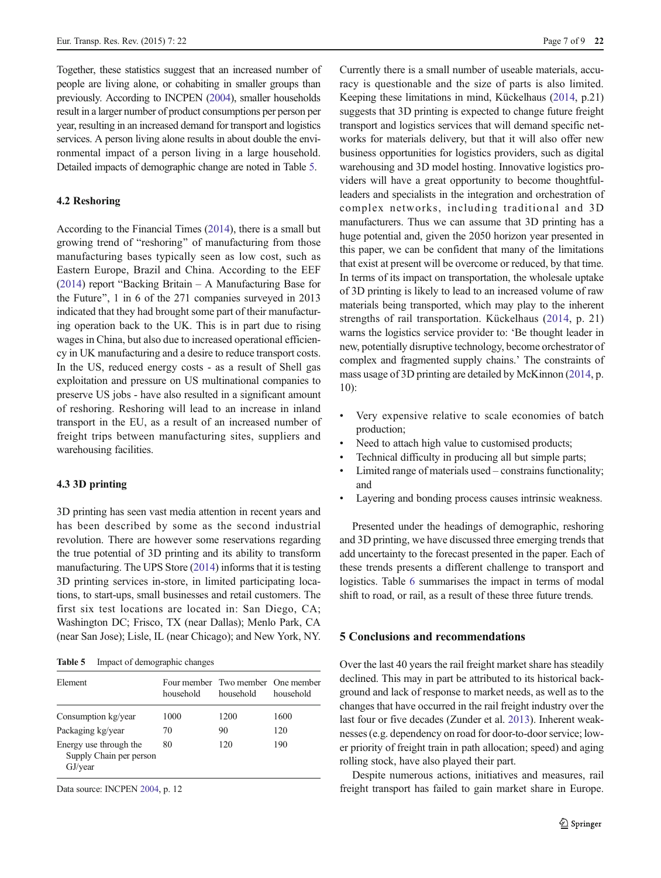Together, these statistics suggest that an increased number of people are living alone, or cohabiting in smaller groups than previously. According to INCPEN [\(2004\)](#page-8-0), smaller households result in a larger number of product consumptions per person per year, resulting in an increased demand for transport and logistics services. A person living alone results in about double the environmental impact of a person living in a large household. Detailed impacts of demographic change are noted in Table 5.

#### 4.2 Reshoring

According to the Financial Times [\(2014](#page-8-0)), there is a small but growing trend of "reshoring" of manufacturing from those manufacturing bases typically seen as low cost, such as Eastern Europe, Brazil and China. According to the EEF [\(2014\)](#page-8-0) report "Backing Britain – A Manufacturing Base for the Future^, 1 in 6 of the 271 companies surveyed in 2013 indicated that they had brought some part of their manufacturing operation back to the UK. This is in part due to rising wages in China, but also due to increased operational efficiency in UK manufacturing and a desire to reduce transport costs. In the US, reduced energy costs - as a result of Shell gas exploitation and pressure on US multinational companies to preserve US jobs - have also resulted in a significant amount of reshoring. Reshoring will lead to an increase in inland transport in the EU, as a result of an increased number of freight trips between manufacturing sites, suppliers and warehousing facilities.

# 4.3 3D printing

3D printing has seen vast media attention in recent years and has been described by some as the second industrial revolution. There are however some reservations regarding the true potential of 3D printing and its ability to transform manufacturing. The UPS Store [\(2014](#page-8-0)) informs that it is testing 3D printing services in-store, in limited participating locations, to start-ups, small businesses and retail customers. The first six test locations are located in: San Diego, CA; Washington DC; Frisco, TX (near Dallas); Menlo Park, CA (near San Jose); Lisle, IL (near Chicago); and New York, NY.

Table 5 Impact of demographic changes

| Element                                                      | household | Four member Two member One member<br>household | household |
|--------------------------------------------------------------|-----------|------------------------------------------------|-----------|
| Consumption kg/year                                          | 1000      | 1200                                           | 1600      |
| Packaging kg/year                                            | 70        | 90                                             | 120       |
| Energy use through the<br>Supply Chain per person<br>GJ/year | 80        | 120                                            | 190       |

Data source: INCPEN [2004](#page-8-0), p. 12

Currently there is a small number of useable materials, accuracy is questionable and the size of parts is also limited. Keeping these limitations in mind, Kückelhaus ([2014](#page-8-0), p.21) suggests that 3D printing is expected to change future freight transport and logistics services that will demand specific networks for materials delivery, but that it will also offer new business opportunities for logistics providers, such as digital warehousing and 3D model hosting. Innovative logistics providers will have a great opportunity to become thoughtfulleaders and specialists in the integration and orchestration of complex networks, including traditional and 3D manufacturers. Thus we can assume that 3D printing has a huge potential and, given the 2050 horizon year presented in this paper, we can be confident that many of the limitations that exist at present will be overcome or reduced, by that time. In terms of its impact on transportation, the wholesale uptake of 3D printing is likely to lead to an increased volume of raw materials being transported, which may play to the inherent strengths of rail transportation. Kückelhaus ([2014,](#page-8-0) p. 21) warns the logistics service provider to: 'Be thought leader in new, potentially disruptive technology, become orchestrator of complex and fragmented supply chains.' The constraints of mass usage of 3D printing are detailed by McKinnon [\(2014,](#page-8-0) p. 10):

- Very expensive relative to scale economies of batch production;
- Need to attach high value to customised products;
- Technical difficulty in producing all but simple parts;
- & Limited range of materials used constrains functionality; and
- Layering and bonding process causes intrinsic weakness.

Presented under the headings of demographic, reshoring and 3D printing, we have discussed three emerging trends that add uncertainty to the forecast presented in the paper. Each of these trends presents a different challenge to transport and logistics. Table [6](#page-7-0) summarises the impact in terms of modal shift to road, or rail, as a result of these three future trends.

# 5 Conclusions and recommendations

Over the last 40 years the rail freight market share has steadily declined. This may in part be attributed to its historical background and lack of response to market needs, as well as to the changes that have occurred in the rail freight industry over the last four or five decades (Zunder et al. [2013\)](#page-8-0). Inherent weaknesses (e.g. dependency on road for door-to-door service; lower priority of freight train in path allocation; speed) and aging rolling stock, have also played their part.

Despite numerous actions, initiatives and measures, rail freight transport has failed to gain market share in Europe.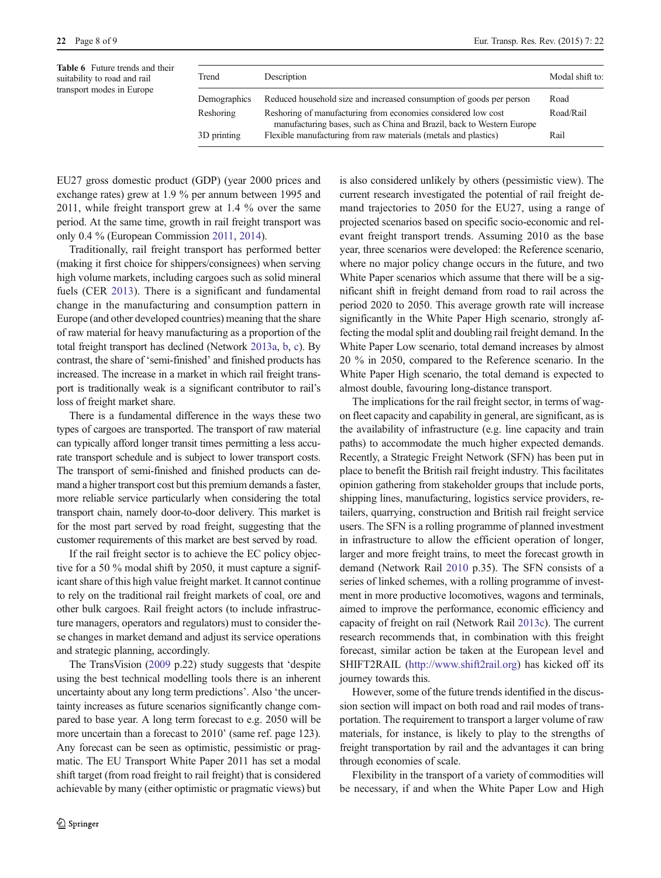<span id="page-7-0"></span>Table 6 Future trends and their suitability to road and rail transport modes in Europe

| Trend        | Description                                                                                                                            | Modal shift to: |
|--------------|----------------------------------------------------------------------------------------------------------------------------------------|-----------------|
| Demographics | Reduced household size and increased consumption of goods per person                                                                   | Road            |
| Reshoring    | Reshoring of manufacturing from economies considered low cost<br>manufacturing bases, such as China and Brazil, back to Western Europe | Road/Rail       |
| 3D printing  | Flexible manufacturing from raw materials (metals and plastics)                                                                        | Rail            |

EU27 gross domestic product (GDP) (year 2000 prices and exchange rates) grew at 1.9 % per annum between 1995 and 2011, while freight transport grew at 1.4 % over the same period. At the same time, growth in rail freight transport was only 0.4 % (European Commission [2011,](#page-8-0) [2014](#page-8-0)).

Traditionally, rail freight transport has performed better (making it first choice for shippers/consignees) when serving high volume markets, including cargoes such as solid mineral fuels (CER [2013\)](#page-8-0). There is a significant and fundamental change in the manufacturing and consumption pattern in Europe (and other developed countries) meaning that the share of raw material for heavy manufacturing as a proportion of the total freight transport has declined (Network [2013a,](#page-8-0) [b,](#page-8-0) [c](#page-8-0)). By contrast, the share of 'semi-finished' and finished products has increased. The increase in a market in which rail freight transport is traditionally weak is a significant contributor to rail's loss of freight market share.

There is a fundamental difference in the ways these two types of cargoes are transported. The transport of raw material can typically afford longer transit times permitting a less accurate transport schedule and is subject to lower transport costs. The transport of semi-finished and finished products can demand a higher transport cost but this premium demands a faster, more reliable service particularly when considering the total transport chain, namely door-to-door delivery. This market is for the most part served by road freight, suggesting that the customer requirements of this market are best served by road.

If the rail freight sector is to achieve the EC policy objective for a 50 % modal shift by 2050, it must capture a significant share of this high value freight market. It cannot continue to rely on the traditional rail freight markets of coal, ore and other bulk cargoes. Rail freight actors (to include infrastructure managers, operators and regulators) must to consider these changes in market demand and adjust its service operations and strategic planning, accordingly.

The TransVision [\(2009](#page-8-0) p.22) study suggests that 'despite using the best technical modelling tools there is an inherent uncertainty about any long term predictions'. Also 'the uncertainty increases as future scenarios significantly change compared to base year. A long term forecast to e.g. 2050 will be more uncertain than a forecast to 2010' (same ref. page 123). Any forecast can be seen as optimistic, pessimistic or pragmatic. The EU Transport White Paper 2011 has set a modal shift target (from road freight to rail freight) that is considered achievable by many (either optimistic or pragmatic views) but is also considered unlikely by others (pessimistic view). The current research investigated the potential of rail freight demand trajectories to 2050 for the EU27, using a range of projected scenarios based on specific socio-economic and relevant freight transport trends. Assuming 2010 as the base year, three scenarios were developed: the Reference scenario, where no major policy change occurs in the future, and two White Paper scenarios which assume that there will be a significant shift in freight demand from road to rail across the period 2020 to 2050. This average growth rate will increase significantly in the White Paper High scenario, strongly affecting the modal split and doubling rail freight demand. In the White Paper Low scenario, total demand increases by almost 20 % in 2050, compared to the Reference scenario. In the White Paper High scenario, the total demand is expected to almost double, favouring long-distance transport.

The implications for the rail freight sector, in terms of wagon fleet capacity and capability in general, are significant, as is the availability of infrastructure (e.g. line capacity and train paths) to accommodate the much higher expected demands. Recently, a Strategic Freight Network (SFN) has been put in place to benefit the British rail freight industry. This facilitates opinion gathering from stakeholder groups that include ports, shipping lines, manufacturing, logistics service providers, retailers, quarrying, construction and British rail freight service users. The SFN is a rolling programme of planned investment in infrastructure to allow the efficient operation of longer, larger and more freight trains, to meet the forecast growth in demand (Network Rail [2010](#page-8-0) p.35). The SFN consists of a series of linked schemes, with a rolling programme of investment in more productive locomotives, wagons and terminals, aimed to improve the performance, economic efficiency and capacity of freight on rail (Network Rail [2013c\)](#page-8-0). The current research recommends that, in combination with this freight forecast, similar action be taken at the European level and SHIFT2RAIL [\(http://www.shift2rail.org](http://www.shift2rail.org)) has kicked off its journey towards this.

However, some of the future trends identified in the discussion section will impact on both road and rail modes of transportation. The requirement to transport a larger volume of raw materials, for instance, is likely to play to the strengths of freight transportation by rail and the advantages it can bring through economies of scale.

Flexibility in the transport of a variety of commodities will be necessary, if and when the White Paper Low and High